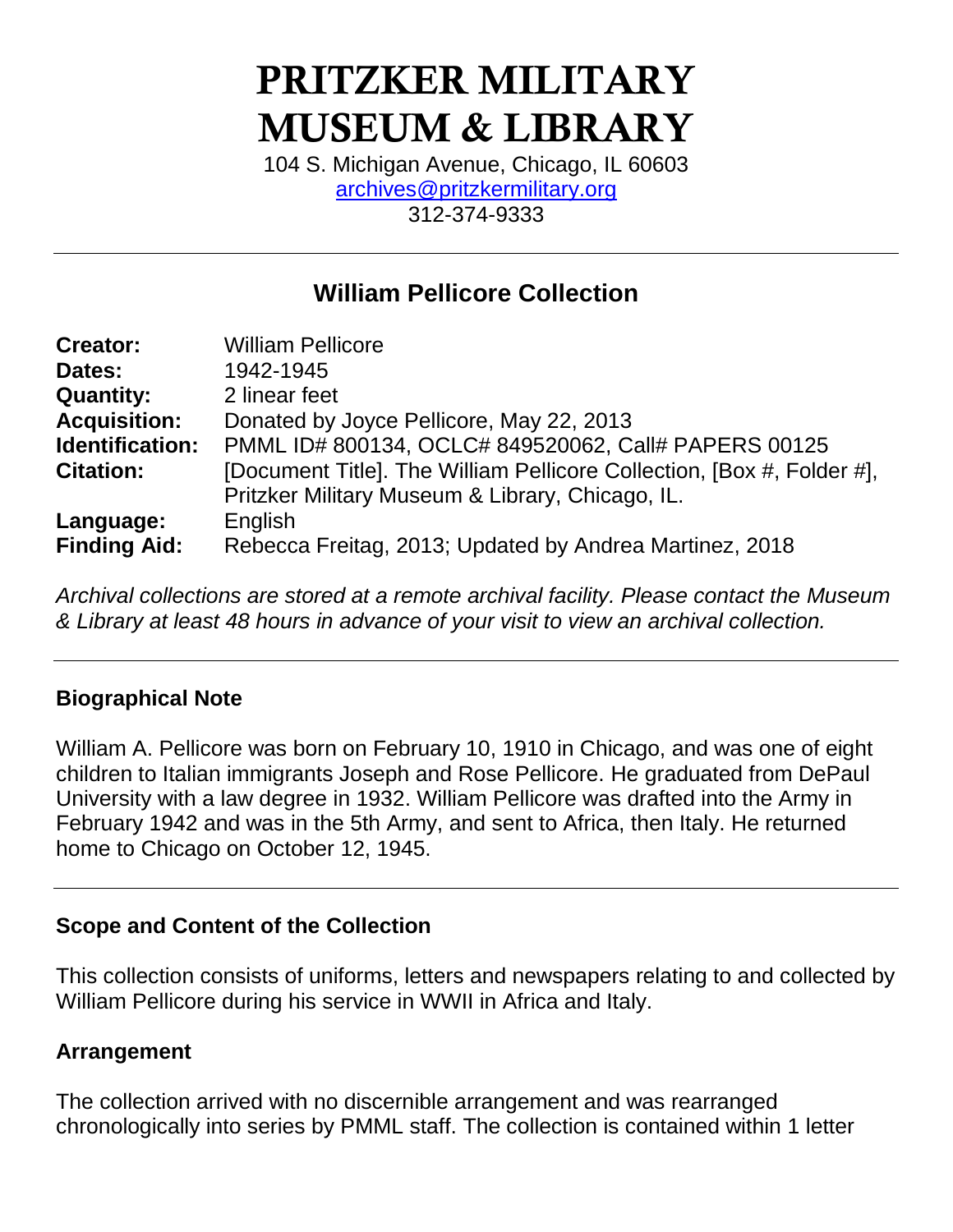# PRITZKER MILITARY MUSEUM & LIBRARY

104 S. Michigan Avenue, Chicago, IL 60603 [archives@pritzkermilitary.org](mailto:archives@pritzkermilitary.org) 312-374-9333

# **William Pellicore Collection**

| <b>Creator:</b>     | <b>William Pellicore</b>                                               |
|---------------------|------------------------------------------------------------------------|
| Dates:              | 1942-1945                                                              |
| <b>Quantity:</b>    | 2 linear feet                                                          |
| <b>Acquisition:</b> | Donated by Joyce Pellicore, May 22, 2013                               |
| Identification:     | PMML ID# 800134, OCLC# 849520062, Call# PAPERS 00125                   |
| <b>Citation:</b>    | [Document Title]. The William Pellicore Collection, [Box #, Folder #], |
|                     | Pritzker Military Museum & Library, Chicago, IL.                       |
| Language:           | English                                                                |
| <b>Finding Aid:</b> | Rebecca Freitag, 2013; Updated by Andrea Martinez, 2018                |

*Archival collections are stored at a remote archival facility. Please contact the Museum & Library at least 48 hours in advance of your visit to view an archival collection.*

#### **Biographical Note**

William A. Pellicore was born on February 10, 1910 in Chicago, and was one of eight children to Italian immigrants Joseph and Rose Pellicore. He graduated from DePaul University with a law degree in 1932. William Pellicore was drafted into the Army in February 1942 and was in the 5th Army, and sent to Africa, then Italy. He returned home to Chicago on October 12, 1945.

#### **Scope and Content of the Collection**

This collection consists of uniforms, letters and newspapers relating to and collected by William Pellicore during his service in WWII in Africa and Italy.

# **Arrangement**

The collection arrived with no discernible arrangement and was rearranged chronologically into series by PMML staff. The collection is contained within 1 letter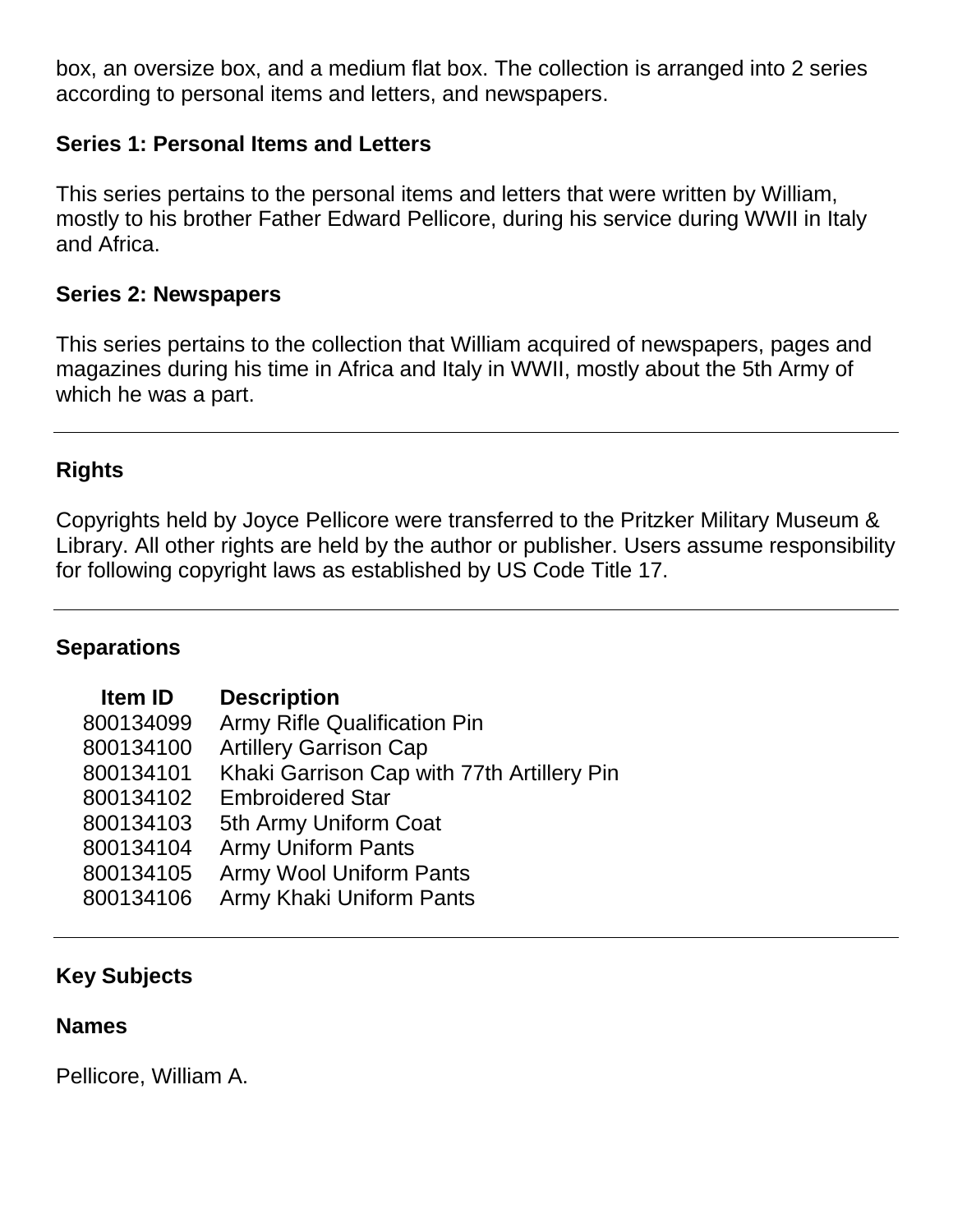box, an oversize box, and a medium flat box. The collection is arranged into 2 series according to personal items and letters, and newspapers.

## **Series 1: Personal Items and Letters**

This series pertains to the personal items and letters that were written by William, mostly to his brother Father Edward Pellicore, during his service during WWII in Italy and Africa.

## **Series 2: Newspapers**

This series pertains to the collection that William acquired of newspapers, pages and magazines during his time in Africa and Italy in WWII, mostly about the 5th Army of which he was a part.

# **Rights**

Copyrights held by Joyce Pellicore were transferred to the Pritzker Military Museum & Library. All other rights are held by the author or publisher. Users assume responsibility for following copyright laws as established by US Code Title 17.

#### **Separations**

| <b>Item ID</b> | <b>Description</b>                         |
|----------------|--------------------------------------------|
| 800134099      | Army Rifle Qualification Pin               |
| 800134100      | <b>Artillery Garrison Cap</b>              |
| 800134101      | Khaki Garrison Cap with 77th Artillery Pin |
| 800134102      | <b>Embroidered Star</b>                    |
| 800134103      | 5th Army Uniform Coat                      |
| 800134104      | <b>Army Uniform Pants</b>                  |
| 800134105      | <b>Army Wool Uniform Pants</b>             |
| 800134106      | Army Khaki Uniform Pants                   |

# **Key Subjects**

#### **Names**

Pellicore, William A.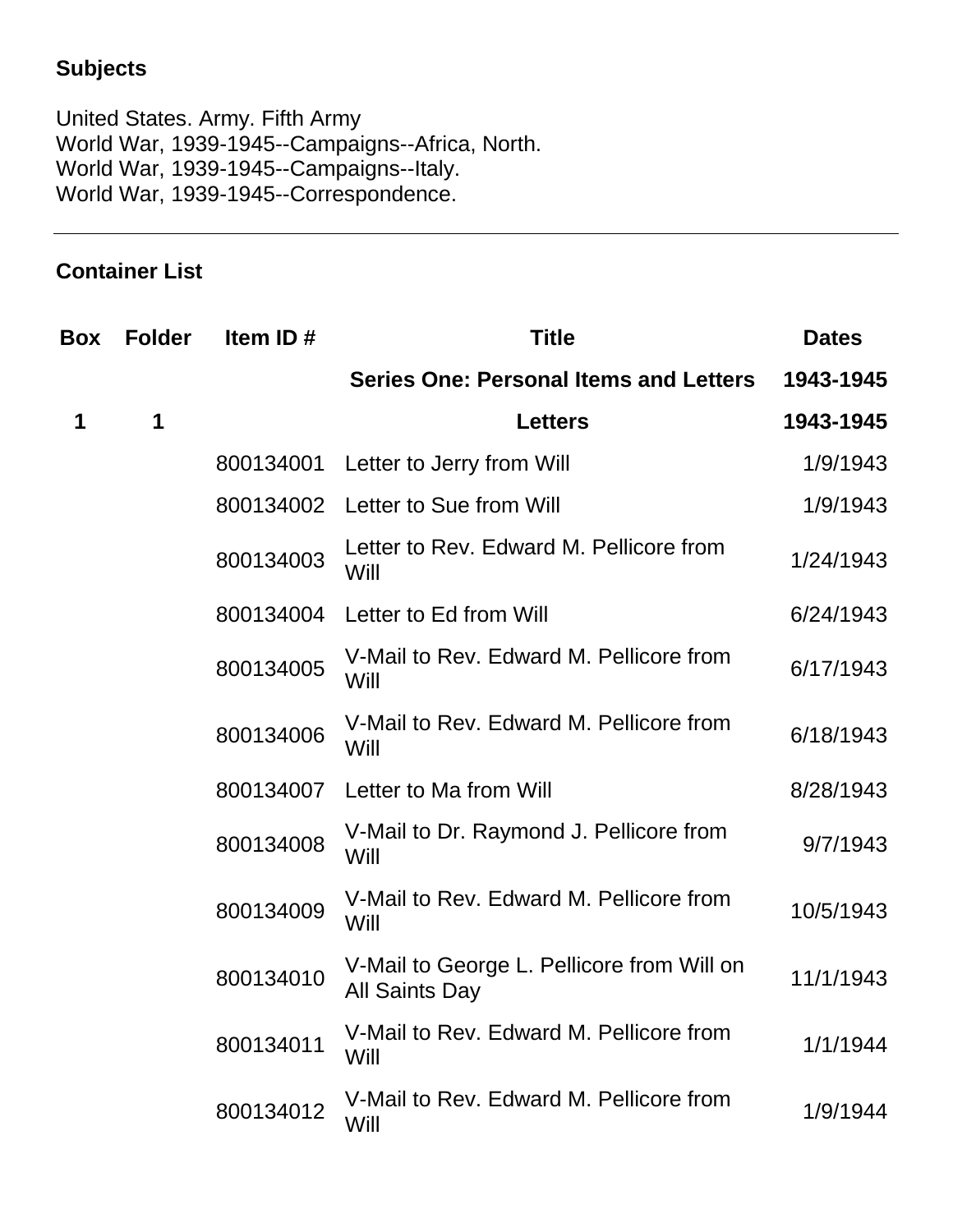# **Subjects**

United States. Army. Fifth Army World War, 1939-1945--Campaigns--Africa, North. World War, 1939-1945--Campaigns--Italy. World War, 1939-1945--Correspondence.

# **Container List**

| <b>Box</b> | <b>Folder</b> | Item ID#  | <b>Title</b>                                                        | <b>Dates</b> |
|------------|---------------|-----------|---------------------------------------------------------------------|--------------|
|            |               |           | <b>Series One: Personal Items and Letters</b>                       | 1943-1945    |
| 1          | $\mathbf 1$   |           | <b>Letters</b>                                                      | 1943-1945    |
|            |               | 800134001 | Letter to Jerry from Will                                           | 1/9/1943     |
|            |               | 800134002 | Letter to Sue from Will                                             | 1/9/1943     |
|            |               | 800134003 | Letter to Rev. Edward M. Pellicore from<br>Will                     | 1/24/1943    |
|            |               | 800134004 | Letter to Ed from Will                                              | 6/24/1943    |
|            |               | 800134005 | V-Mail to Rev. Edward M. Pellicore from<br>Will                     | 6/17/1943    |
|            |               | 800134006 | V-Mail to Rev. Edward M. Pellicore from<br>Will                     | 6/18/1943    |
|            |               | 800134007 | Letter to Ma from Will                                              | 8/28/1943    |
|            |               | 800134008 | V-Mail to Dr. Raymond J. Pellicore from<br>Will                     | 9/7/1943     |
|            |               | 800134009 | V-Mail to Rev. Edward M. Pellicore from<br>Will                     | 10/5/1943    |
|            |               | 800134010 | V-Mail to George L. Pellicore from Will on<br><b>All Saints Day</b> | 11/1/1943    |
|            |               | 800134011 | V-Mail to Rev. Edward M. Pellicore from<br>Will                     | 1/1/1944     |
|            |               | 800134012 | V-Mail to Rev. Edward M. Pellicore from<br>Will                     | 1/9/1944     |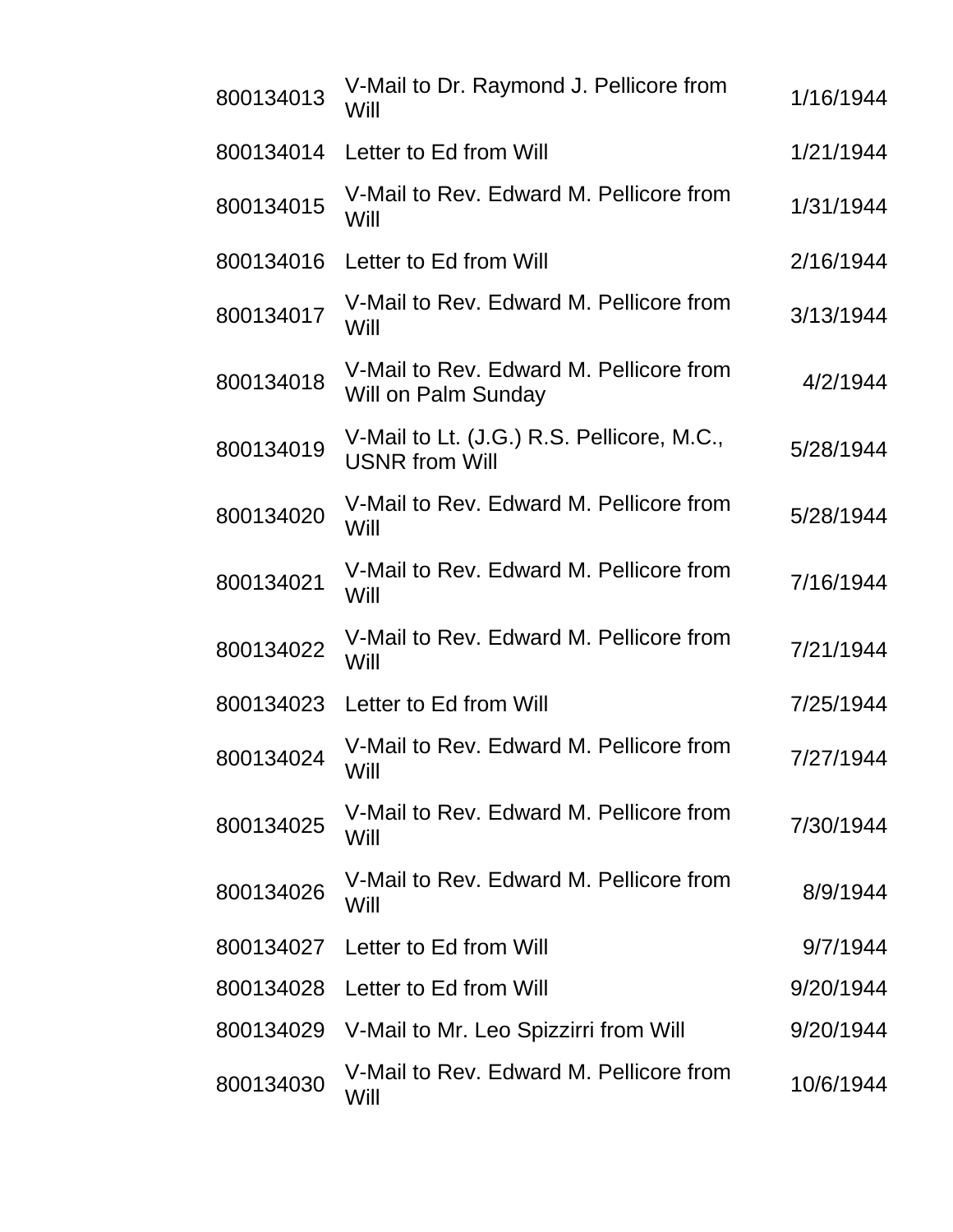| 800134013 | V-Mail to Dr. Raymond J. Pellicore from<br>Will                     | 1/16/1944 |
|-----------|---------------------------------------------------------------------|-----------|
| 800134014 | Letter to Ed from Will                                              | 1/21/1944 |
| 800134015 | V-Mail to Rev. Edward M. Pellicore from<br>Will                     | 1/31/1944 |
| 800134016 | Letter to Ed from Will                                              | 2/16/1944 |
| 800134017 | V-Mail to Rev. Edward M. Pellicore from<br>Will                     | 3/13/1944 |
| 800134018 | V-Mail to Rev. Edward M. Pellicore from<br>Will on Palm Sunday      | 4/2/1944  |
| 800134019 | V-Mail to Lt. (J.G.) R.S. Pellicore, M.C.,<br><b>USNR from Will</b> | 5/28/1944 |
| 800134020 | V-Mail to Rev. Edward M. Pellicore from<br>Will                     | 5/28/1944 |
| 800134021 | V-Mail to Rev. Edward M. Pellicore from<br>Will                     | 7/16/1944 |
| 800134022 | V-Mail to Rev. Edward M. Pellicore from<br>Will                     | 7/21/1944 |
| 800134023 | Letter to Ed from Will                                              | 7/25/1944 |
| 800134024 | V-Mail to Rev. Edward M. Pellicore from<br>Will                     | 7/27/1944 |
| 800134025 | V-Mail to Rev. Edward M. Pellicore from<br>Will                     | 7/30/1944 |
| 800134026 | V-Mail to Rev. Edward M. Pellicore from<br>Will                     | 8/9/1944  |
| 800134027 | Letter to Ed from Will                                              | 9/7/1944  |
| 800134028 | Letter to Ed from Will                                              | 9/20/1944 |
| 800134029 | V-Mail to Mr. Leo Spizzirri from Will                               | 9/20/1944 |
| 800134030 | V-Mail to Rev. Edward M. Pellicore from<br>Will                     | 10/6/1944 |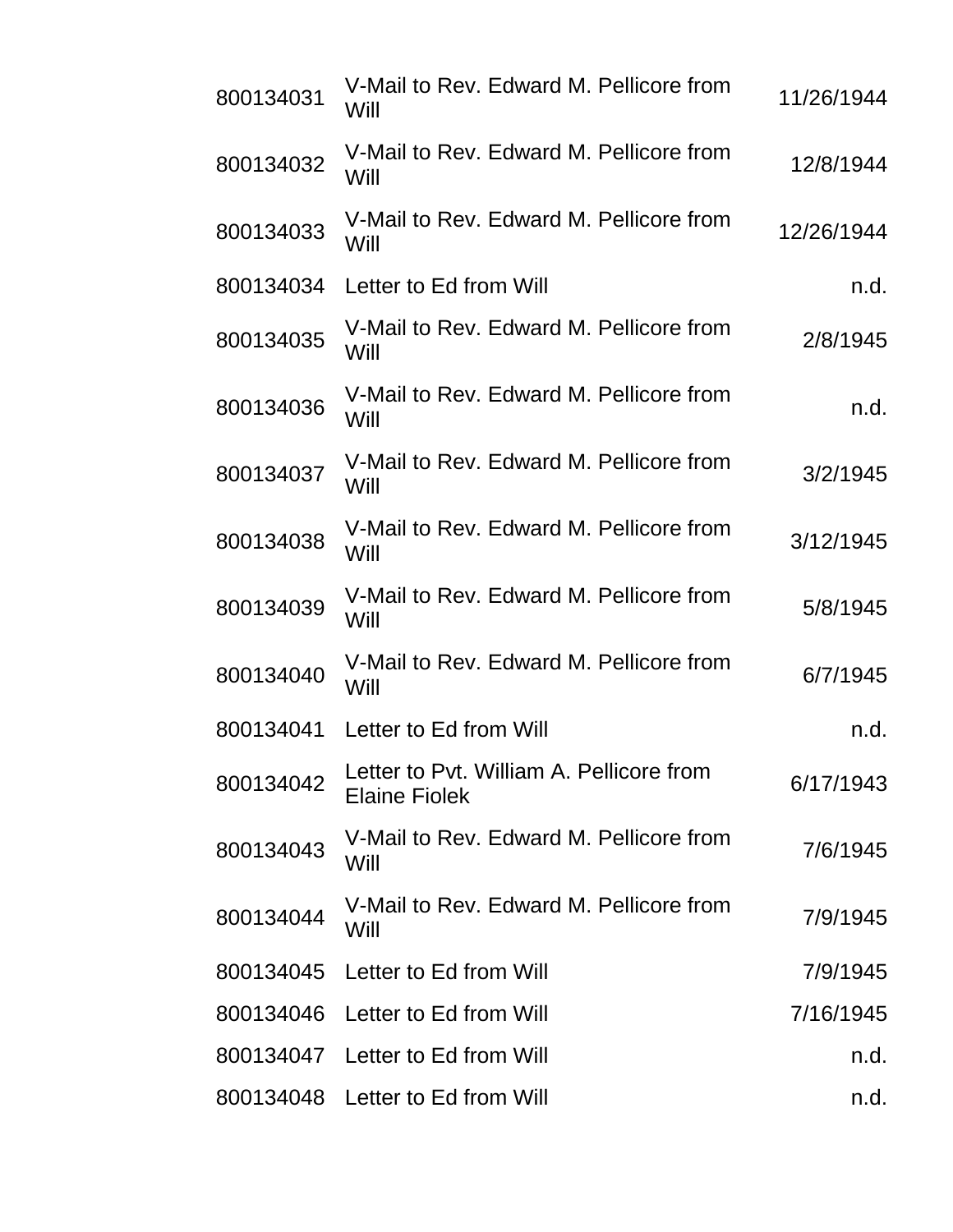| 800134031 | V-Mail to Rev. Edward M. Pellicore from<br>Will                  | 11/26/1944 |
|-----------|------------------------------------------------------------------|------------|
| 800134032 | V-Mail to Rev. Edward M. Pellicore from<br>Will                  | 12/8/1944  |
| 800134033 | V-Mail to Rev. Edward M. Pellicore from<br>Will                  | 12/26/1944 |
| 800134034 | Letter to Ed from Will                                           | n.d.       |
| 800134035 | V-Mail to Rev. Edward M. Pellicore from<br>Will                  | 2/8/1945   |
| 800134036 | V-Mail to Rev. Edward M. Pellicore from<br>Will                  | n.d.       |
| 800134037 | V-Mail to Rev. Edward M. Pellicore from<br>Will                  | 3/2/1945   |
| 800134038 | V-Mail to Rev. Edward M. Pellicore from<br>Will                  | 3/12/1945  |
| 800134039 | V-Mail to Rev. Edward M. Pellicore from<br>Will                  | 5/8/1945   |
| 800134040 | V-Mail to Rev. Edward M. Pellicore from<br>Will                  | 6/7/1945   |
| 800134041 | Letter to Ed from Will                                           | n.d.       |
| 800134042 | Letter to Pvt. William A. Pellicore from<br><b>Elaine Fiolek</b> | 6/17/1943  |
| 800134043 | V-Mail to Rev. Edward M. Pellicore from<br>Will                  | 7/6/1945   |
| 800134044 | V-Mail to Rev. Edward M. Pellicore from<br>Will                  | 7/9/1945   |
|           | 800134045 Letter to Ed from Will                                 | 7/9/1945   |
| 800134046 | Letter to Ed from Will                                           | 7/16/1945  |
| 800134047 | Letter to Ed from Will                                           | n.d.       |
|           | 800134048 Letter to Ed from Will                                 | n.d.       |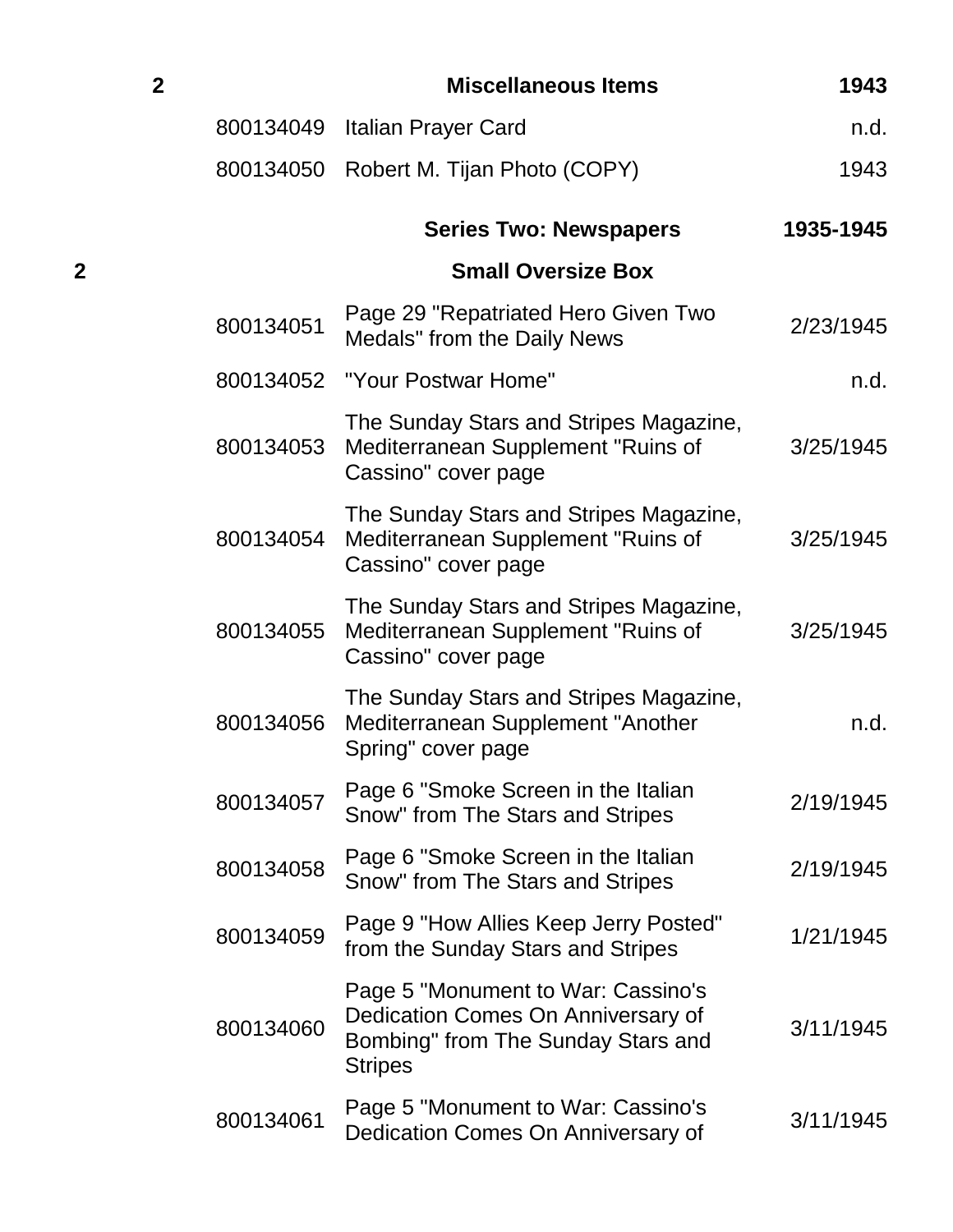| $\overline{2}$ |           | <b>Miscellaneous Items</b>                                                                                                       | 1943      |
|----------------|-----------|----------------------------------------------------------------------------------------------------------------------------------|-----------|
|                | 800134049 | Italian Prayer Card                                                                                                              | n.d.      |
|                |           | 800134050 Robert M. Tijan Photo (COPY)                                                                                           | 1943      |
|                |           | <b>Series Two: Newspapers</b>                                                                                                    | 1935-1945 |
| 2              |           | <b>Small Oversize Box</b>                                                                                                        |           |
|                | 800134051 | Page 29 "Repatriated Hero Given Two<br>Medals" from the Daily News                                                               | 2/23/1945 |
|                |           | 800134052 "Your Postwar Home"                                                                                                    | n.d.      |
|                | 800134053 | The Sunday Stars and Stripes Magazine,<br>Mediterranean Supplement "Ruins of<br>Cassino" cover page                              | 3/25/1945 |
|                | 800134054 | The Sunday Stars and Stripes Magazine,<br>Mediterranean Supplement "Ruins of<br>Cassino" cover page                              | 3/25/1945 |
|                | 800134055 | The Sunday Stars and Stripes Magazine,<br>Mediterranean Supplement "Ruins of<br>Cassino" cover page                              | 3/25/1945 |
|                | 800134056 | The Sunday Stars and Stripes Magazine,<br>Mediterranean Supplement "Another<br>Spring" cover page                                | n.d.      |
|                | 800134057 | Page 6 "Smoke Screen in the Italian<br>Snow" from The Stars and Stripes                                                          | 2/19/1945 |
|                | 800134058 | Page 6 "Smoke Screen in the Italian<br>Snow" from The Stars and Stripes                                                          | 2/19/1945 |
|                | 800134059 | Page 9 "How Allies Keep Jerry Posted"<br>from the Sunday Stars and Stripes                                                       | 1/21/1945 |
|                | 800134060 | Page 5 "Monument to War: Cassino's<br>Dedication Comes On Anniversary of<br>Bombing" from The Sunday Stars and<br><b>Stripes</b> | 3/11/1945 |
|                | 800134061 | Page 5 "Monument to War: Cassino's<br>Dedication Comes On Anniversary of                                                         | 3/11/1945 |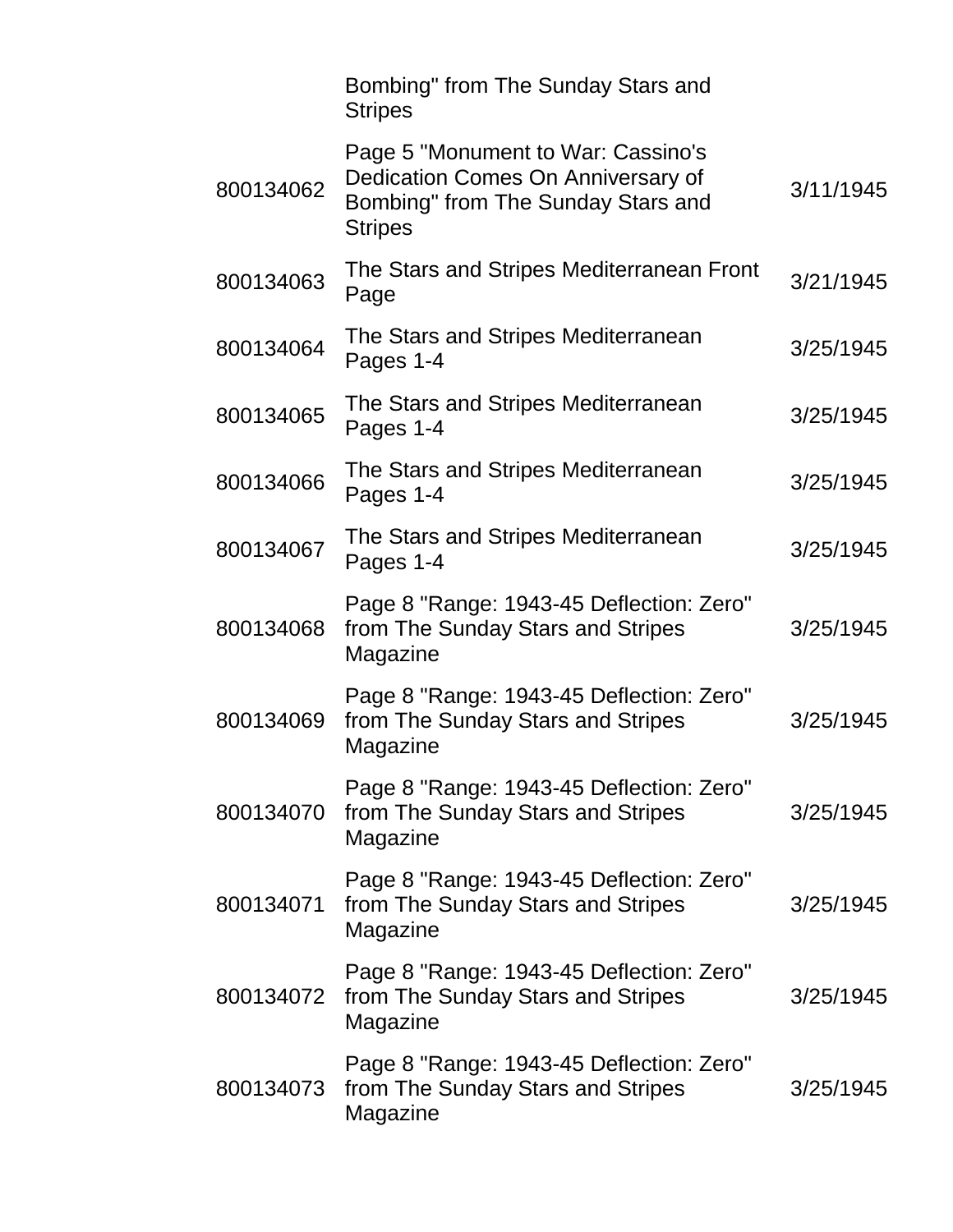|           | Bombing" from The Sunday Stars and<br><b>Stripes</b>                                                                             |           |
|-----------|----------------------------------------------------------------------------------------------------------------------------------|-----------|
| 800134062 | Page 5 "Monument to War: Cassino's<br>Dedication Comes On Anniversary of<br>Bombing" from The Sunday Stars and<br><b>Stripes</b> | 3/11/1945 |
| 800134063 | The Stars and Stripes Mediterranean Front<br>Page                                                                                | 3/21/1945 |
| 800134064 | The Stars and Stripes Mediterranean<br>Pages 1-4                                                                                 | 3/25/1945 |
| 800134065 | The Stars and Stripes Mediterranean<br>Pages 1-4                                                                                 | 3/25/1945 |
| 800134066 | The Stars and Stripes Mediterranean<br>Pages 1-4                                                                                 | 3/25/1945 |
| 800134067 | The Stars and Stripes Mediterranean<br>Pages 1-4                                                                                 | 3/25/1945 |
| 800134068 | Page 8 "Range: 1943-45 Deflection: Zero"<br>from The Sunday Stars and Stripes<br>Magazine                                        | 3/25/1945 |
| 800134069 | Page 8 "Range: 1943-45 Deflection: Zero"<br>from The Sunday Stars and Stripes<br>Magazine                                        | 3/25/1945 |
| 800134070 | Page 8 "Range: 1943-45 Deflection: Zero"<br>from The Sunday Stars and Stripes<br>Magazine                                        | 3/25/1945 |
| 800134071 | Page 8 "Range: 1943-45 Deflection: Zero"<br>from The Sunday Stars and Stripes<br>Magazine                                        | 3/25/1945 |
| 800134072 | Page 8 "Range: 1943-45 Deflection: Zero"<br>from The Sunday Stars and Stripes<br>Magazine                                        | 3/25/1945 |
| 800134073 | Page 8 "Range: 1943-45 Deflection: Zero"<br>from The Sunday Stars and Stripes<br>Magazine                                        | 3/25/1945 |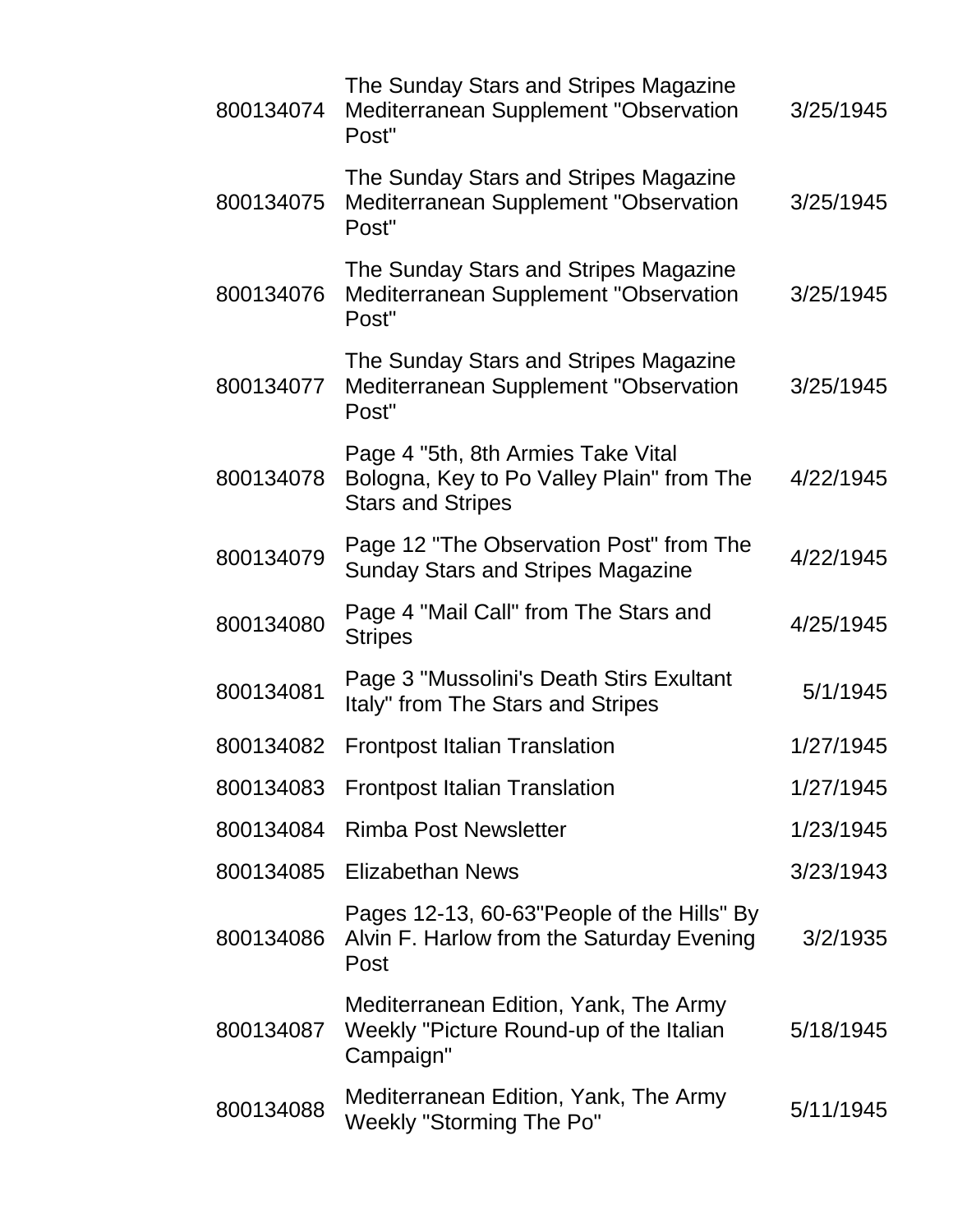| 800134074 | The Sunday Stars and Stripes Magazine<br>Mediterranean Supplement "Observation<br>Post"                     | 3/25/1945 |
|-----------|-------------------------------------------------------------------------------------------------------------|-----------|
| 800134075 | The Sunday Stars and Stripes Magazine<br>Mediterranean Supplement "Observation<br>Post"                     | 3/25/1945 |
| 800134076 | The Sunday Stars and Stripes Magazine<br>Mediterranean Supplement "Observation<br>Post"                     | 3/25/1945 |
| 800134077 | The Sunday Stars and Stripes Magazine<br>Mediterranean Supplement "Observation<br>Post"                     | 3/25/1945 |
| 800134078 | Page 4 "5th, 8th Armies Take Vital<br>Bologna, Key to Po Valley Plain" from The<br><b>Stars and Stripes</b> | 4/22/1945 |
| 800134079 | Page 12 "The Observation Post" from The<br><b>Sunday Stars and Stripes Magazine</b>                         | 4/22/1945 |
| 800134080 | Page 4 "Mail Call" from The Stars and<br><b>Stripes</b>                                                     | 4/25/1945 |
| 800134081 | Page 3 "Mussolini's Death Stirs Exultant<br>Italy" from The Stars and Stripes                               | 5/1/1945  |
| 800134082 | <b>Frontpost Italian Translation</b>                                                                        | 1/27/1945 |
| 800134083 | <b>Frontpost Italian Translation</b>                                                                        | 1/27/1945 |
| 800134084 | <b>Rimba Post Newsletter</b>                                                                                | 1/23/1945 |
| 800134085 | <b>Elizabethan News</b>                                                                                     | 3/23/1943 |
| 800134086 | Pages 12-13, 60-63"People of the Hills" By<br>Alvin F. Harlow from the Saturday Evening<br>Post             | 3/2/1935  |
| 800134087 | Mediterranean Edition, Yank, The Army<br>Weekly "Picture Round-up of the Italian<br>Campaign"               | 5/18/1945 |
| 800134088 | Mediterranean Edition, Yank, The Army<br><b>Weekly "Storming The Po"</b>                                    | 5/11/1945 |